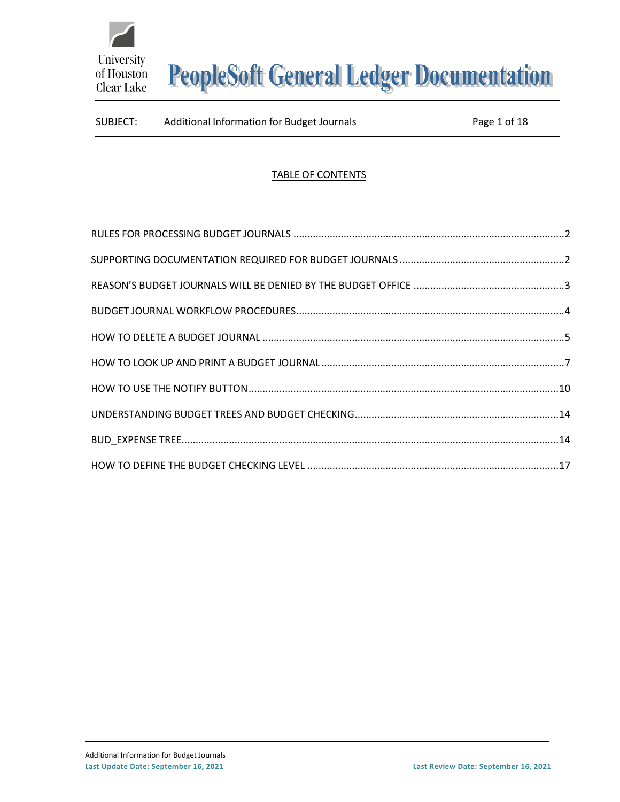

# SUBJECT: Additional Information for Budget Journals Page 1 of 18

# TABLE OF CONTENTS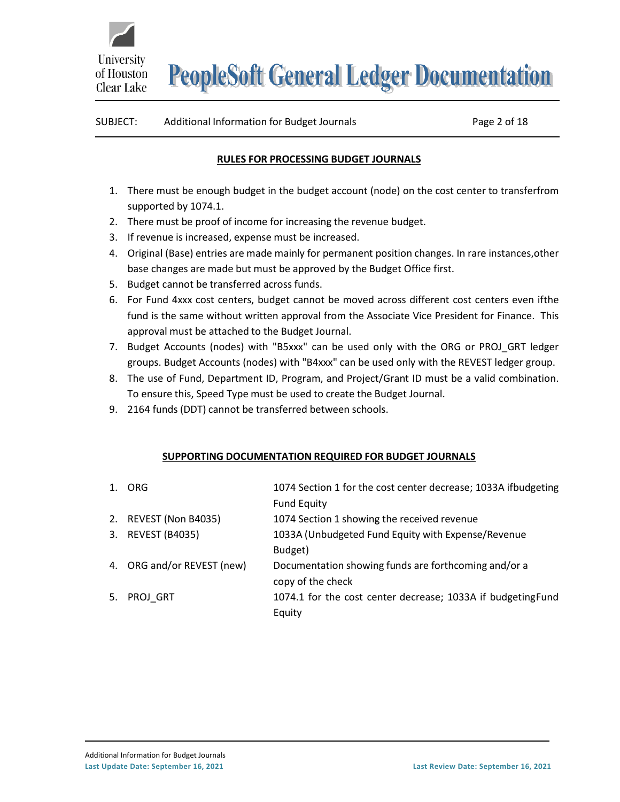

# <span id="page-1-0"></span>SUBJECT: Additional Information for Budget Journals Page 2 of 18

#### **RULES FOR PROCESSING BUDGET JOURNALS**

- 1. There must be enough budget in the budget account (node) on the cost center to transferfrom supported by 1074.1.
- 2. There must be proof of income for increasing the revenue budget.
- 3. If revenue is increased, expense must be increased.
- 4. Original (Base) entries are made mainly for permanent position changes. In rare instances,other base changes are made but must be approved by the Budget Office first.
- 5. Budget cannot be transferred across funds.
- 6. For Fund 4xxx cost centers, budget cannot be moved across different cost centers even ifthe fund is the same without written approval from the Associate Vice President for Finance. This approval must be attached to the Budget Journal.
- 7. Budget Accounts (nodes) with "B5xxx" can be used only with the ORG or PROJ GRT ledger groups. Budget Accounts (nodes) with "B4xxx" can be used only with the REVEST ledger group.
- 8. The use of Fund, Department ID, Program, and Project/Grant ID must be a valid combination. To ensure this, Speed Type must be used to create the Budget Journal.
- 9. 2164 funds (DDT) cannot be transferred between schools.

#### **SUPPORTING DOCUMENTATION REQUIRED FOR BUDGET JOURNALS**

<span id="page-1-1"></span>

| 1. ORG                     | 1074 Section 1 for the cost center decrease; 1033A ifbudgeting<br><b>Fund Equity</b> |
|----------------------------|--------------------------------------------------------------------------------------|
| 2. REVEST (Non B4035)      | 1074 Section 1 showing the received revenue                                          |
| 3. REVEST (B4035)          | 1033A (Unbudgeted Fund Equity with Expense/Revenue                                   |
|                            | Budget)                                                                              |
| 4. ORG and/or REVEST (new) | Documentation showing funds are forthcoming and/or a                                 |
|                            | copy of the check                                                                    |
| 5. PROJ_GRT                | 1074.1 for the cost center decrease; 1033A if budgetingFund                          |
|                            | Equity                                                                               |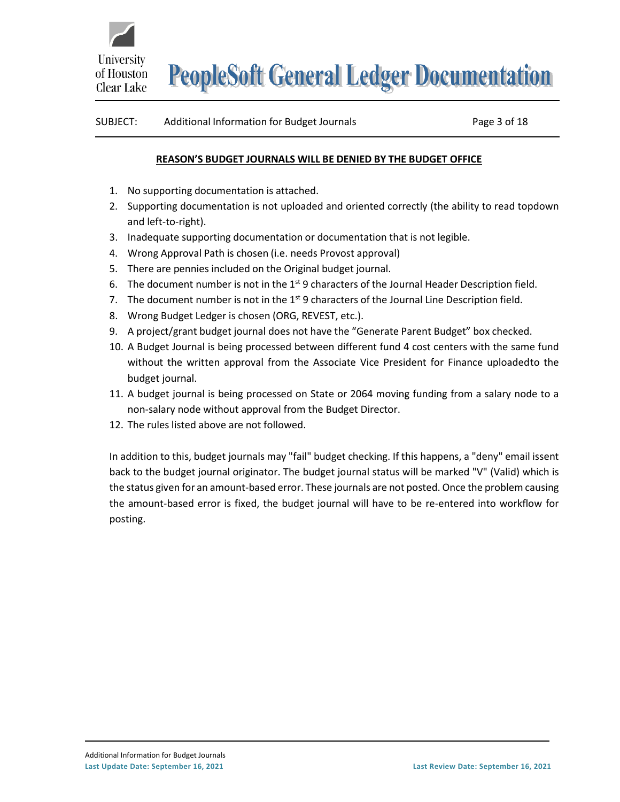

#### <span id="page-2-0"></span>SUBJECT: Additional Information for Budget Journals Page 3 of 18

#### **REASON'S BUDGET JOURNALS WILL BE DENIED BY THE BUDGET OFFICE**

- 1. No supporting documentation is attached.
- 2. Supporting documentation is not uploaded and oriented correctly (the ability to read topdown and left-to-right).
- 3. Inadequate supporting documentation or documentation that is not legible.
- 4. Wrong Approval Path is chosen (i.e. needs Provost approval)
- 5. There are pennies included on the Original budget journal.
- 6. The document number is not in the  $1<sup>st</sup>$  9 characters of the Journal Header Description field.
- 7. The document number is not in the  $1<sup>st</sup>$  9 characters of the Journal Line Description field.
- 8. Wrong Budget Ledger is chosen (ORG, REVEST, etc.).
- 9. A project/grant budget journal does not have the "Generate Parent Budget" box checked.
- 10. A Budget Journal is being processed between different fund 4 cost centers with the same fund without the written approval from the Associate Vice President for Finance uploadedto the budget journal.
- 11. A budget journal is being processed on State or 2064 moving funding from a salary node to a non-salary node without approval from the Budget Director.
- 12. The rules listed above are not followed.

In addition to this, budget journals may "fail" budget checking. If this happens, a "deny" email issent back to the budget journal originator. The budget journal status will be marked "V" (Valid) which is the status given for an amount-based error. These journals are not posted. Once the problem causing the amount-based error is fixed, the budget journal will have to be re-entered into workflow for posting.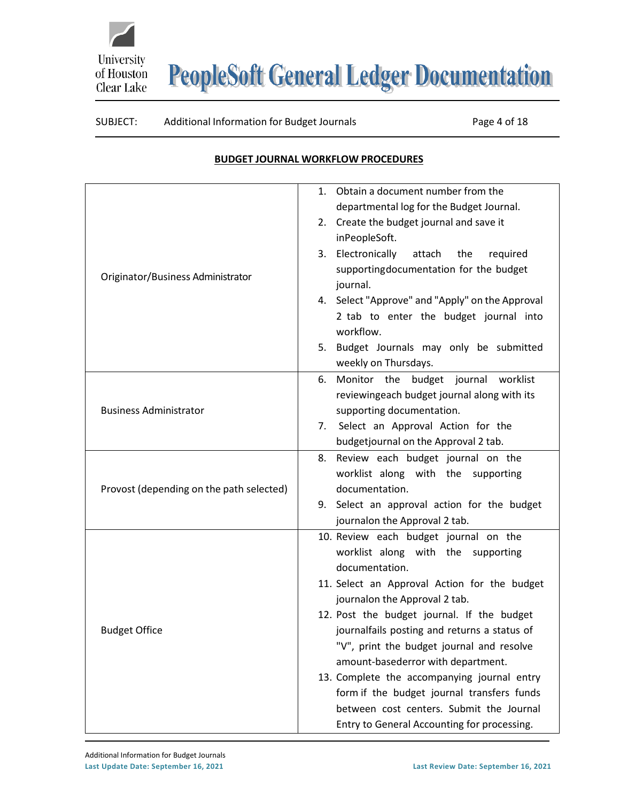



#### SUBJECT: Additional Information for Budget Journals Page 4 of 18

#### **BUDGET JOURNAL WORKFLOW PROCEDURES**

<span id="page-3-0"></span>

|                                          | 1. Obtain a document number from the            |
|------------------------------------------|-------------------------------------------------|
|                                          | departmental log for the Budget Journal.        |
|                                          | 2. Create the budget journal and save it        |
|                                          | inPeopleSoft.                                   |
|                                          | 3. Electronically<br>attach<br>the<br>required  |
|                                          | supportingdocumentation for the budget          |
| Originator/Business Administrator        | journal.                                        |
|                                          | 4. Select "Approve" and "Apply" on the Approval |
|                                          | 2 tab to enter the budget journal into          |
|                                          | workflow.                                       |
|                                          | Budget Journals may only be submitted<br>5.     |
|                                          | weekly on Thursdays.                            |
|                                          | Monitor the budget journal worklist<br>6.       |
|                                          | reviewingeach budget journal along with its     |
| <b>Business Administrator</b>            | supporting documentation.                       |
|                                          | Select an Approval Action for the<br>7.         |
|                                          | budgetjournal on the Approval 2 tab.            |
|                                          | 8. Review each budget journal on the            |
|                                          | worklist along with the supporting              |
| Provost (depending on the path selected) | documentation.                                  |
|                                          | 9. Select an approval action for the budget     |
|                                          | journalon the Approval 2 tab.                   |
|                                          | 10. Review each budget journal on the           |
|                                          | worklist along with the supporting              |
|                                          | documentation.                                  |
|                                          | 11. Select an Approval Action for the budget    |
|                                          | journalon the Approval 2 tab.                   |
|                                          | 12. Post the budget journal. If the budget      |
| <b>Budget Office</b>                     | journalfails posting and returns a status of    |
|                                          | "V", print the budget journal and resolve       |
|                                          | amount-basederror with department.              |
|                                          | 13. Complete the accompanying journal entry     |
|                                          | form if the budget journal transfers funds      |
|                                          | between cost centers. Submit the Journal        |
|                                          | Entry to General Accounting for processing.     |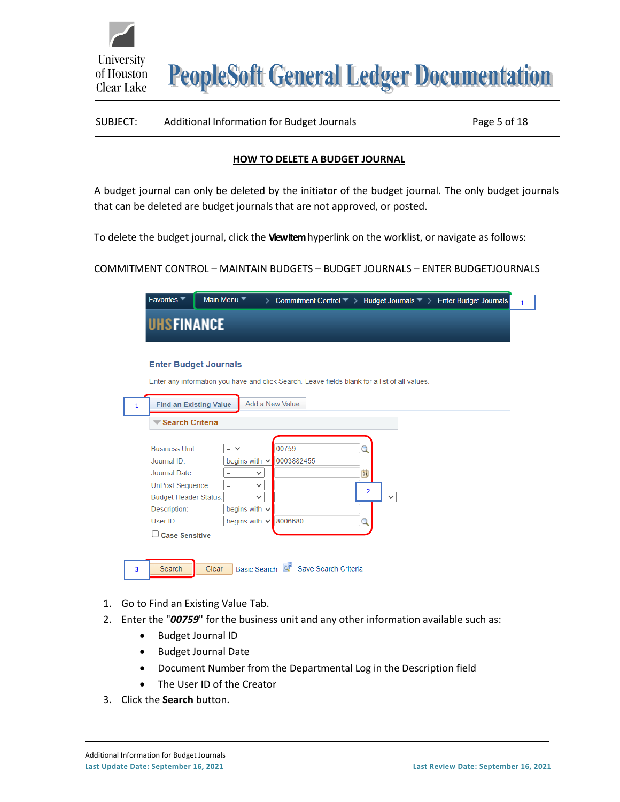

# SUBJECT: Additional Information for Budget Journals Page 5 of 18

#### **HOW TO DELETE A BUDGET JOURNAL**

<span id="page-4-0"></span>A budget journal can only be deleted by the initiator of the budget journal. The only budget journals that can be deleted are budget journals that are not approved, or posted.

To delete the budget journal, click the **View Item**hyperlink on the worklist, or navigate as follows:

COMMITMENT CONTROL – MAINTAIN BUDGETS – BUDGET JOURNALS – ENTER BUDGETJOURNALS

|              | Favorites <sup>▼</sup>                                                                                                                                         | Main Menu ▼<br>> Commitment Control > Budget Journals > Enter Budget Journals                                                                                                                                                                               | $\mathbf{1}$ |
|--------------|----------------------------------------------------------------------------------------------------------------------------------------------------------------|-------------------------------------------------------------------------------------------------------------------------------------------------------------------------------------------------------------------------------------------------------------|--------------|
|              | <b>UHSFINANCE</b>                                                                                                                                              |                                                                                                                                                                                                                                                             |              |
|              | <b>Enter Budget Journals</b>                                                                                                                                   |                                                                                                                                                                                                                                                             |              |
|              |                                                                                                                                                                | Enter any information you have and click Search. Leave fields blank for a list of all values.                                                                                                                                                               |              |
| $\mathbf{1}$ | <b>Find an Existing Value</b>                                                                                                                                  | Add a New Value                                                                                                                                                                                                                                             |              |
|              | Search Criteria                                                                                                                                                |                                                                                                                                                                                                                                                             |              |
|              | <b>Business Unit:</b><br>Journal ID:<br>Journal Date:<br>UnPost Sequence:<br><b>Budget Header Status:</b><br>Description:<br>User ID:<br><b>Case Sensitive</b> | 00759<br>Q<br>$=$ $\vee$<br>begins with $\sim$<br>0003882455<br>$\overline{\mathbf{H}}$<br>Ξ<br>$\checkmark$<br>Ξ<br>$\checkmark$<br>$\overline{2}$<br>$\equiv$<br>$\checkmark$<br>$\checkmark$<br>begins with $\sim$<br>begins with $\vee$<br>8006680<br>Q |              |
| 3            | Search                                                                                                                                                         | Basic Search Q Save Search Criteria<br>Clear                                                                                                                                                                                                                |              |

- 1. Go to Find an Existing Value Tab.
- 2. Enter the "*00759*" for the business unit and any other information available such as:
	- Budget Journal ID
	- Budget Journal Date
	- Document Number from the Departmental Log in the Description field
	- The User ID of the Creator
- 3. Click the **Search** button.

University

Clear Lake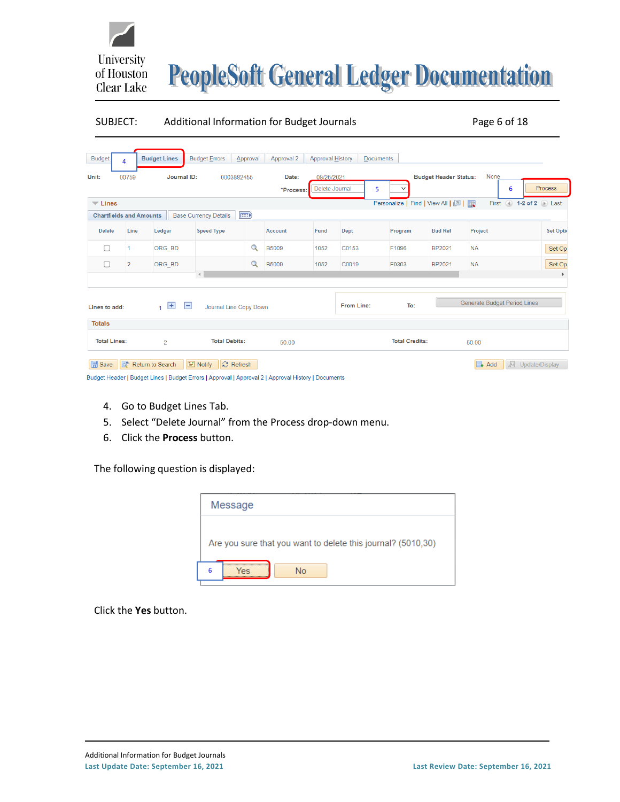

#### SUBJECT: Additional Information for Budget Journals Page 6 of 18

| <b>Budget</b>                  | 4              | <b>Budget Lines</b>            | <b>Budget Errors</b>                                                                                | Approval                     | Approval 2     | Approval History |                   | <b>Documents</b> |                                   |            |                                     |                  |
|--------------------------------|----------------|--------------------------------|-----------------------------------------------------------------------------------------------------|------------------------------|----------------|------------------|-------------------|------------------|-----------------------------------|------------|-------------------------------------|------------------|
| Unit:                          | 00759          | Journal ID:                    |                                                                                                     | 0003882455                   | Date:          | 08/26/2021       |                   |                  | <b>Budget Header Status:</b>      | None       |                                     |                  |
|                                |                |                                |                                                                                                     |                              | *Process:      | Delete Journal   |                   | 5                |                                   |            | 6                                   | Process          |
| $\overline{\phantom{a}}$ Lines |                |                                |                                                                                                     |                              |                |                  |                   |                  | Personalize   Find   View All   2 |            | First (4) 1-2 of 2 (b) Last         |                  |
|                                |                | <b>Chartfields and Amounts</b> | <b>Base Currency Details</b>                                                                        | $\left( \frac{1}{2} \right)$ |                |                  |                   |                  |                                   |            |                                     |                  |
| <b>Delete</b>                  | Line           | Ledger                         | <b>Speed Type</b>                                                                                   |                              | <b>Account</b> | Fund             | <b>Dept</b>       | Program          | <b>Bud Ref</b>                    | Project    |                                     | <b>Set Optio</b> |
| ∩                              |                | ORG_BD                         |                                                                                                     | Q                            | <b>B5009</b>   | 1052             | C0153             | F1096            | <b>BP2021</b>                     | <b>NA</b>  |                                     | Set Op           |
| □                              | $\overline{2}$ | ORG BD                         |                                                                                                     | $\alpha$                     | <b>B5009</b>   | 1052             | C0019             | F0303            | BP2021                            | <b>NA</b>  |                                     | Set Op           |
|                                |                |                                | $\overline{a}$                                                                                      |                              |                |                  |                   |                  |                                   |            |                                     | $\mathbf{r}$     |
| Lines to add:                  |                | $+$<br>$\mathbf{1}$            | $\blacksquare$<br>Journal Line Copy Down                                                            |                              |                |                  | <b>From Line:</b> |                  | To:                               |            | <b>Generate Budget Period Lines</b> |                  |
| <b>Totals</b>                  |                |                                |                                                                                                     |                              |                |                  |                   |                  |                                   |            |                                     |                  |
| <b>Total Lines:</b>            |                | $\overline{2}$                 | <b>Total Debits:</b>                                                                                |                              | 50.00          |                  |                   |                  | <b>Total Credits:</b>             | 50.00      |                                     |                  |
| <b>圖</b> Save                  | <b>R</b>       | Return to Search               | I Notify                                                                                            | $\odot$ Refresh              |                |                  |                   |                  |                                   | $\Box$ Add | 廻                                   | Update/Display   |
|                                |                |                                | Budget Header   Budget Lines   Budget Errors   Approval   Approval 2   Approval History   Documents |                              |                |                  |                   |                  |                                   |            |                                     |                  |

- 4. Go to Budget Lines Tab.
- 5. Select "Delete Journal" from the Process drop-down menu.
- 6. Click the **Process** button.

The following question is displayed:

| Message                                                      |  |
|--------------------------------------------------------------|--|
| Are you sure that you want to delete this journal? (5010,30) |  |
| <br>6<br>No                                                  |  |

Click the **Yes** button.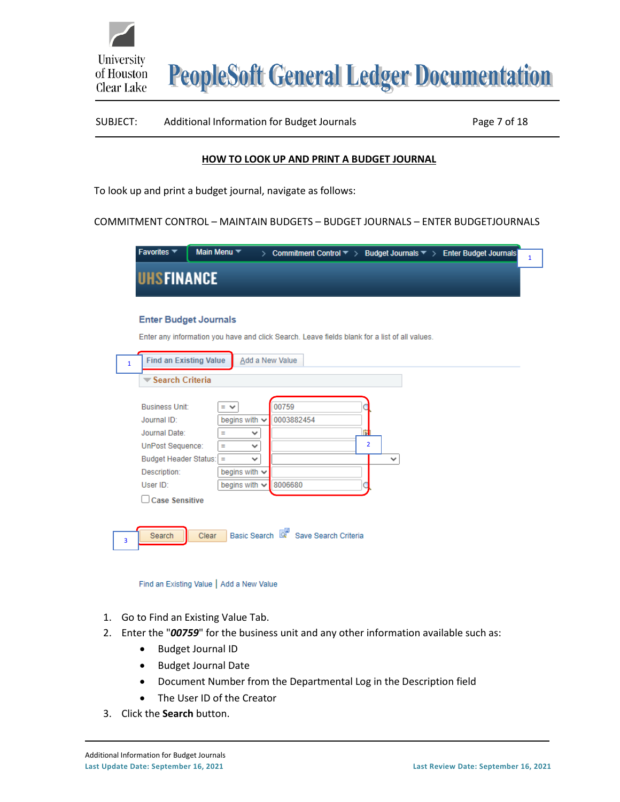

# SUBJECT: Additional Information for Budget Journals Page 7 of 18

#### **HOW TO LOOK UP AND PRINT A BUDGET JOURNAL**

<span id="page-6-0"></span>To look up and print a budget journal, navigate as follows:

COMMITMENT CONTROL – MAINTAIN BUDGETS – BUDGET JOURNALS – ENTER BUDGETJOURNALS

| Favorites $\blacktriangledown$ |       | Main Menu $\blacktriangledown$ | > Commitment Control $\blacktriangledown$ > Budget Journals $\blacktriangledown$ > Enter Budget Journals |
|--------------------------------|-------|--------------------------------|----------------------------------------------------------------------------------------------------------|
| <b>UHSFINANCE</b>              |       |                                |                                                                                                          |
|                                |       |                                |                                                                                                          |
| <b>Enter Budget Journals</b>   |       |                                |                                                                                                          |
|                                |       |                                | Enter any information you have and click Search. Leave fields blank for a list of all values.            |
| <b>Find an Existing Value</b>  |       |                                | Add a New Value                                                                                          |
| $\mathbf{1}$                   |       |                                |                                                                                                          |
| Search Criteria                |       |                                |                                                                                                          |
| <b>Business Unit:</b>          |       | $=$ $\vee$                     | 00759                                                                                                    |
| Journal ID:                    |       | begins with $\sim$             | 0003882454                                                                                               |
| Journal Date:                  |       | Ξ<br>v                         | П                                                                                                        |
| <b>UnPost Sequence:</b>        |       | v<br>Ξ                         | $\overline{2}$                                                                                           |
| Budget Header Status: =        |       | $\checkmark$                   | $\checkmark$                                                                                             |
| Description:                   |       | begins with $\sim$             |                                                                                                          |
| User ID:                       |       | begins with $\sim$             | 8006680                                                                                                  |
| <b>Case Sensitive</b>          |       |                                |                                                                                                          |
|                                |       |                                |                                                                                                          |
| Search                         | Clear |                                | Basic Search <b>&amp;</b> Save Search Criteria                                                           |
| 3                              |       |                                |                                                                                                          |
|                                |       |                                |                                                                                                          |

Find an Existing Value | Add a New Value

- 1. Go to Find an Existing Value Tab.
- 2. Enter the "*00759*" for the business unit and any other information available such as:
	- Budget Journal ID
	- Budget Journal Date
	- Document Number from the Departmental Log in the Description field
	- The User ID of the Creator
- 3. Click the **Search** button.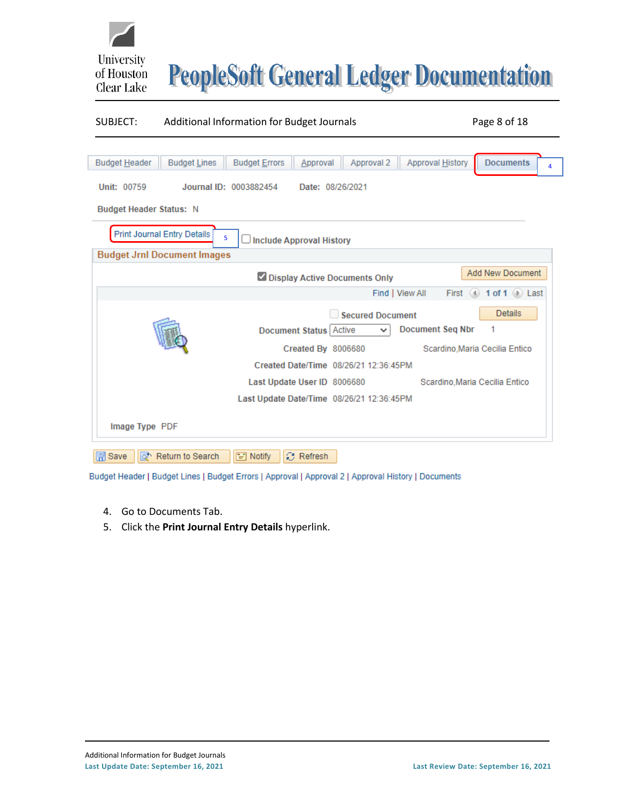

#### SUBJECT: Additional Information for Budget Journals Page 8 of 18

| <b>Budget Header</b>            | <b>Budget Lines</b>                                                      | <b>Budget Errors</b>   | Approval                    | Approval 2                                | Approval History        | <b>Documents</b>                        | 4 |
|---------------------------------|--------------------------------------------------------------------------|------------------------|-----------------------------|-------------------------------------------|-------------------------|-----------------------------------------|---|
| Unit: 00759                     |                                                                          | Journal ID: 0003882454 | Date: 08/26/2021            |                                           |                         |                                         |   |
| <b>Budget Header Status: N</b>  |                                                                          |                        |                             |                                           |                         |                                         |   |
|                                 | <b>Print Journal Entry Details</b><br><b>Budget Jrnl Document Images</b> | 5                      | Include Approval History    |                                           |                         |                                         |   |
|                                 |                                                                          |                        |                             |                                           |                         | <b>Add New Document</b>                 |   |
|                                 |                                                                          |                        |                             | Display Active Documents Only             |                         |                                         |   |
|                                 |                                                                          |                        |                             |                                           | Find   View All         | First $\bigcirc$ 1 of 1 $\bigcirc$ Last |   |
|                                 |                                                                          |                        |                             | Secured Document                          |                         | <b>Details</b>                          |   |
|                                 |                                                                          |                        | Document Status   Active    | $\checkmark$                              | <b>Document Seg Nbr</b> | 1                                       |   |
|                                 |                                                                          |                        | Created By 8006680          |                                           |                         | Scardino, Maria Cecilia Entico          |   |
|                                 |                                                                          |                        |                             | Created Date/Time 08/26/21 12:36:45PM     |                         |                                         |   |
|                                 |                                                                          |                        | Last Update User ID 8006680 |                                           |                         | Scardino, Maria Cecilia Entico          |   |
|                                 |                                                                          |                        |                             | Last Update Date/Time 08/26/21 12:36:45PM |                         |                                         |   |
| Image Type PDF<br><b>開</b> Save | a <sup>t</sup> Return to Search                                          | $\equiv$ Notify        | $\mathcal{C}$ Refresh       |                                           |                         |                                         |   |

Budget Header | Budget Lines | Budget Errors | Approval | Approval 2 | Approval History | Documents

- 4. Go to Documents Tab.
- 5. Click the **Print Journal Entry Details** hyperlink.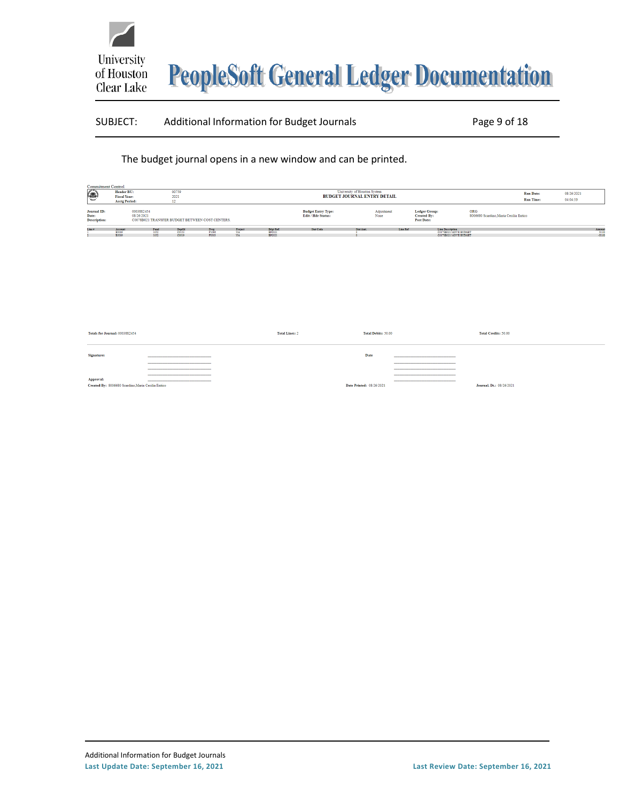

#### SUBJECT: Additional Information for Budget Journals Page 9 of 18

The budget journal opens in a new window and can be printed.

| <b>Commitment Control</b><br>$\circledast$  | Header BU:<br><b>Fiscal Year:</b><br><b>Acctg Period:</b> |                                                                             | 00759<br>2021                   |                        |                |                               | <b>BUDGET JOURNAL ENTRY DETAIL</b>              | University of Houston System |                    |                                                          |                                                                    |                                              | <b>Run Date:</b><br><b>Run Time:</b> | 08/26/2021<br>04:04:53 |                |
|---------------------------------------------|-----------------------------------------------------------|-----------------------------------------------------------------------------|---------------------------------|------------------------|----------------|-------------------------------|-------------------------------------------------|------------------------------|--------------------|----------------------------------------------------------|--------------------------------------------------------------------|----------------------------------------------|--------------------------------------|------------------------|----------------|
| Journal ID:<br>Date:<br><b>Description:</b> |                                                           | 0003882454<br>08/26/2021<br>C0078B021 TRANSFER BUDGET BETWEEN COST CENTERS. |                                 |                        |                |                               | <b>Budget Entry Type:</b><br>Edit / Hdr Status: |                              | Adjustment<br>None | <b>Ledger Group:</b><br><b>Created By:</b><br>Post Date: |                                                                    | ORG<br>8006680 Scardino.Maria Cecilia Entico |                                      |                        |                |
| Line #                                      | Account<br><b>B5009</b><br><b>B5009</b>                   | Fund<br>1052<br>1052                                                        | <b>DeptId</b><br>CO153<br>C0019 | Prog<br>F1096<br>F0303 | Project<br>NA. | Bdgt Ref.<br>BP2021<br>BP2021 | <b>Stat Code</b>                                | Stat Amt.                    | Line Ref           |                                                          | Line Description<br>C0078B021 MOVE BUDGET<br>C0078B021 MOVE BUDGET |                                              |                                      |                        | Amoun<br>50.00 |

| Totals for Journal: 0003882454                                  | <b>Total Lines: 2</b> | Total Debits: 50.00      | Total Credits: 50.00     |
|-----------------------------------------------------------------|-----------------------|--------------------------|--------------------------|
| <b>Signatures</b>                                               |                       | Date                     |                          |
|                                                                 |                       |                          |                          |
| Approval:<br>Created By: 8006680 Scardino, Maria Cecilia Entico |                       | Date Printed: 08/26/2021 | Journal, Dt.: 08/26/2021 |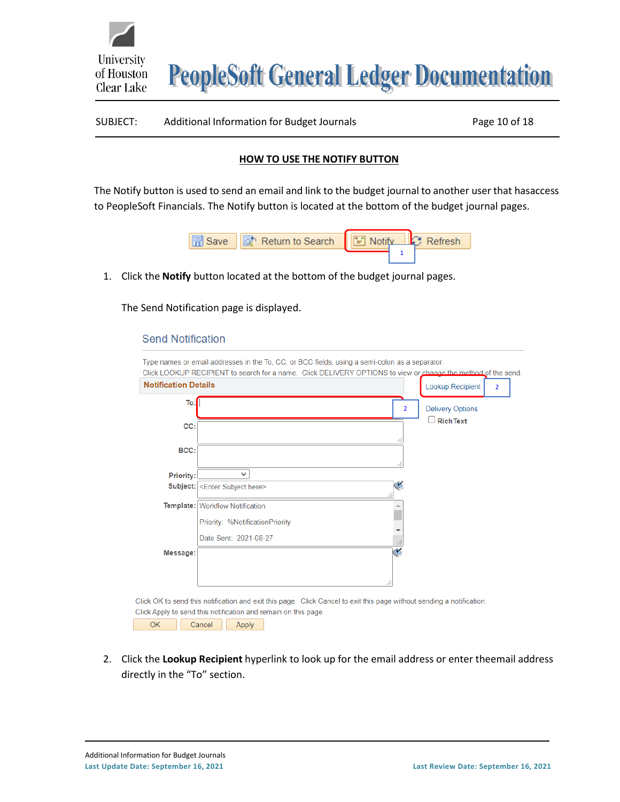# SUBJECT: Additional Information for Budget Journals Page 10 of 18

#### **HOW TO USE THE NOTIFY BUTTON**

<span id="page-9-0"></span>The Notify button is used to send an email and link to the budget journal to another user that hasaccess to PeopleSoft Financials. The Notify button is located at the bottom of the budget journal pages.



1. Click the **Notify** button located at the bottom of the budget journal pages.

The Send Notification page is displayed.

#### **Send Notification**

University

of Houston Clear Lake

|                                                                |        |                                 |  | Type names or email addresses in the To, CC, or BCC fields, using a semi-colon as a separator. |                | Click LOOKUP RECIPIENT to search for a name. Click DELIVERY OPTIONS to view or change the method of the send.         |  |
|----------------------------------------------------------------|--------|---------------------------------|--|------------------------------------------------------------------------------------------------|----------------|-----------------------------------------------------------------------------------------------------------------------|--|
| <b>Notification Details</b>                                    |        |                                 |  |                                                                                                |                | Lookup Recipient<br>$\overline{2}$                                                                                    |  |
| To:                                                            |        |                                 |  |                                                                                                | $\overline{2}$ | <b>Delivery Options</b>                                                                                               |  |
| CC:                                                            |        |                                 |  |                                                                                                |                | <b>RichText</b>                                                                                                       |  |
| BCC:                                                           |        |                                 |  |                                                                                                |                |                                                                                                                       |  |
| Priority:                                                      |        | $\checkmark$                    |  |                                                                                                |                |                                                                                                                       |  |
|                                                                |        | Subject: < Enter Subject here>  |  |                                                                                                | ¥              |                                                                                                                       |  |
|                                                                |        | Template: Workflow Notification |  |                                                                                                |                |                                                                                                                       |  |
|                                                                |        | Priority: %NotificationPriority |  |                                                                                                |                |                                                                                                                       |  |
|                                                                |        | Date Sent: 2021-08-27           |  |                                                                                                |                |                                                                                                                       |  |
| Message:                                                       |        |                                 |  |                                                                                                | V              |                                                                                                                       |  |
|                                                                |        |                                 |  |                                                                                                |                |                                                                                                                       |  |
|                                                                |        |                                 |  |                                                                                                |                | Click OK to send this notification and exit this page. Click Cancel to exit this page without sending a notification. |  |
| Click Apply to send this notification and remain on this page. |        |                                 |  |                                                                                                |                |                                                                                                                       |  |
| <b>OK</b>                                                      | Cancel | Apply                           |  |                                                                                                |                |                                                                                                                       |  |

2. Click the **Lookup Recipient** hyperlink to look up for the email address or enter theemail address directly in the "To" section.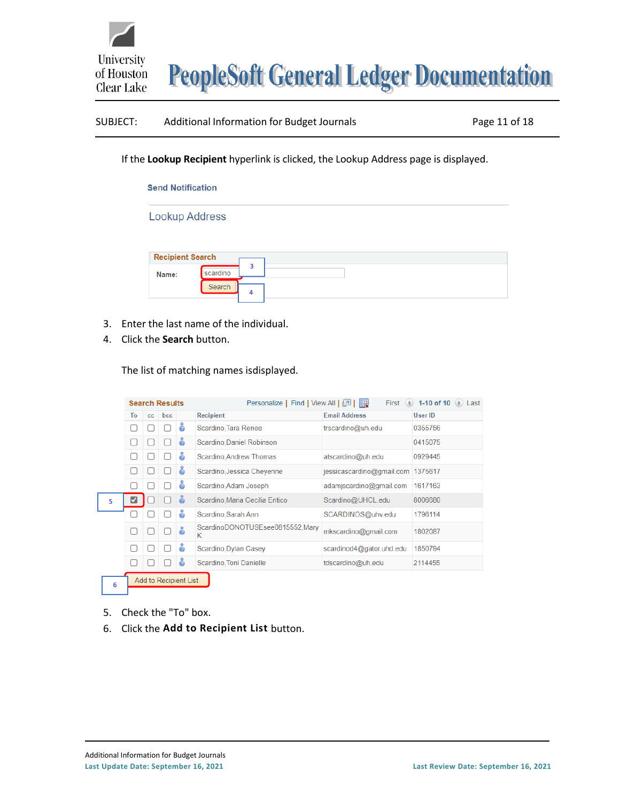

# SUBJECT: Additional Information for Budget Journals Page 11 of 18

If the **Lookup Recipient** hyperlink is clicked, the Lookup Address page is displayed.

# **Send Notification**

**Lookup Address** 

| <b>Recipient Search</b> |          |        |
|-------------------------|----------|--------|
| Name:                   | scardino | ∍<br>٠ |
|                         | Search   | 4      |

- 3. Enter the last name of the individual.
- 4. Click the **Search** button.

The list of matching names isdisplayed.

| <b>Search Results</b> |                       |              |                  |                           | First (4) 1-10 of 10 (b) Last<br>Personalize   Find   View All   2 |                                   |         |  |  |
|-----------------------|-----------------------|--------------|------------------|---------------------------|--------------------------------------------------------------------|-----------------------------------|---------|--|--|
| To<br>bcc<br>cc       |                       |              | <b>Recipient</b> | <b>Email Address</b>      | User ID                                                            |                                   |         |  |  |
|                       | L                     |              |                  | ō                         | Scardino, Tara Renee                                               | trscardino@uh.edu                 | 0355756 |  |  |
|                       | å<br>Ш                |              |                  | Scardino, Daniel Robinson |                                                                    | 0415075                           |         |  |  |
|                       | Г                     |              |                  | å                         | Scardino, Andrew Thomas                                            | atscardino@uh.edu                 | 0929445 |  |  |
|                       | Г                     | $\mathbf{1}$ |                  | å                         | Scardino, Jessica Cheyenne                                         | jessicascardino@gmail.com 1375617 |         |  |  |
|                       | П                     |              |                  | å                         | Scardino, Adam Joseph                                              | adamjscardino@gmail.com           | 1617163 |  |  |
| 5                     | ☑                     |              |                  | កំ                        | Scardino, Maria Cecilia Entico                                     | Scardino@UHCL.edu                 | 8006680 |  |  |
|                       |                       |              |                  | å                         | Scardino, Sarah Ann                                                | SCARDINOS@uhv.edu                 | 1796114 |  |  |
|                       | г                     |              |                  | å                         | ScardinoDONOTUSEsee0815552, Mary<br>Κ                              | mkscardino@gmail.com              | 1802087 |  |  |
|                       | Г                     | ш            |                  | å                         | Scardino, Dylan Casey                                              | scardinod4@gator.uhd.edu          | 1850794 |  |  |
|                       | г                     |              |                  | å                         | Scardino, Toni Danielle                                            | tdscardino@uh.edu                 | 2114455 |  |  |
| 6                     | Add to Recipient List |              |                  |                           |                                                                    |                                   |         |  |  |

- 5. Check the "To" box.
- 6. Click the **Add to Recipient List** button.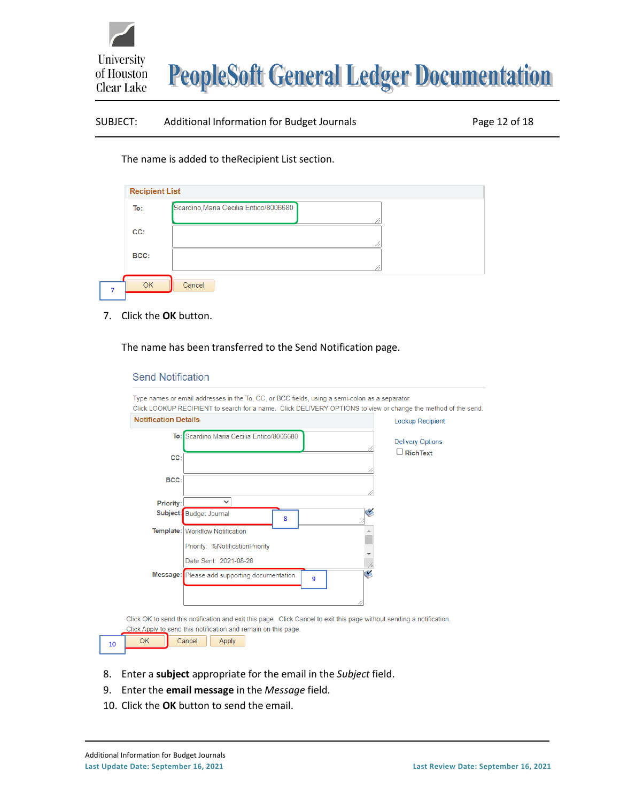

### SUBJECT: Additional Information for Budget Journals Page 12 of 18

The name is added to theRecipient List section.

| To:  | Scardino, Maria Cecilia Entico/8006680 |
|------|----------------------------------------|
| CC:  |                                        |
| BCC: |                                        |

7. Click the **OK** button.

The name has been transferred to the Send Notification page.

#### **Send Notification**

| <b>Notification Details</b> | <b>Lookup Recipient</b>                                                                                               |                                             |
|-----------------------------|-----------------------------------------------------------------------------------------------------------------------|---------------------------------------------|
|                             | To: Scardino, Maria Cecilia Entico/8006680                                                                            |                                             |
|                             |                                                                                                                       | <b>Delivery Options</b><br>$\Box$ Rich Text |
| CC:                         |                                                                                                                       |                                             |
|                             |                                                                                                                       |                                             |
| BCC:                        |                                                                                                                       |                                             |
|                             |                                                                                                                       |                                             |
| Priority:                   | $\checkmark$                                                                                                          |                                             |
|                             | Subject: Budget Journal<br>8                                                                                          |                                             |
|                             | Template: Workflow Notification                                                                                       |                                             |
|                             | Priority: %NotificationPriority                                                                                       |                                             |
|                             |                                                                                                                       |                                             |
|                             | Date Sent: 2021-08-28                                                                                                 |                                             |
|                             | ٧<br>Message: Please add supporting documentation.<br>9                                                               |                                             |
|                             |                                                                                                                       |                                             |
|                             |                                                                                                                       |                                             |
|                             | Click OK to send this notification and exit this page. Click Cancel to exit this page without sending a notification. |                                             |

- 8. Enter a **subject** appropriate for the email in the *Subject* field.
- 9. Enter the **email message** in the *Message* field.
- 10. Click the **OK** button to send the email.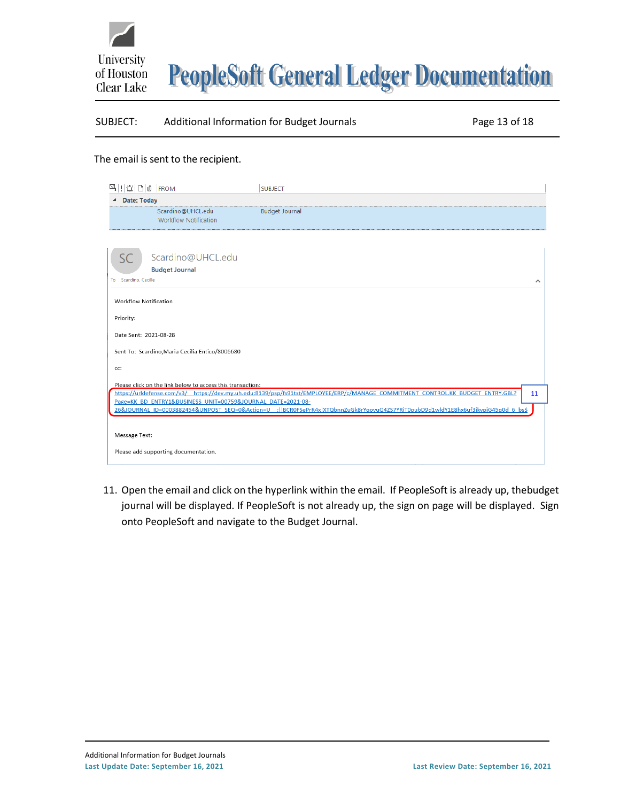



#### SUBJECT: Additional Information for Budget Journals Page 13 of 18

#### The email is sent to the recipient.

| $\mathbb{E} \left[ \left  \left  \frac{1}{2} \right  \right  \right]$ of $\left  \left  \left  \mathbb{R} \right  \right  \right]$ | <b>SUBJECT</b>                                                                                                                   |    |
|------------------------------------------------------------------------------------------------------------------------------------|----------------------------------------------------------------------------------------------------------------------------------|----|
| <b>Date: Today</b>                                                                                                                 |                                                                                                                                  |    |
| Scardino@UHCL.edu<br><b>Workflow Notification</b>                                                                                  | <b>Budget Journal</b>                                                                                                            |    |
| Scardino@UHCL.edu<br><b>Budget Journal</b><br>To Scardino, Cecille                                                                 |                                                                                                                                  | ㅅ  |
| <b>Workflow Notification</b>                                                                                                       |                                                                                                                                  |    |
| Priority:                                                                                                                          |                                                                                                                                  |    |
| Date Sent: 2021-08-28                                                                                                              |                                                                                                                                  |    |
| Sent To: Scardino, Maria Cecilia Entico/8006680                                                                                    |                                                                                                                                  |    |
| cc:                                                                                                                                |                                                                                                                                  |    |
| Please click on the link below to access this transaction:<br>Page=KK BD ENTRY1&BUSINESS UNIT=00759&JOURNAL DATE=2021-08-          | https://urldefense.com/v3/ https://dev.my.uh.edu:8139/psp/fs91tst/EMPLOYEE/ERP/c/MANAGE COMMITMENT CONTROL.KK BUDGET ENTRY.GBL?  | 11 |
|                                                                                                                                    | 26&JOURNAL ID=0003882454&UNPOST SEQ=0&Action=U ;!!BCR0FSePrR4x!XTQbnnZuGk8rYqovuQ4ZS7YRiT0pubD9d1wldY1E8hx6uf3jkvpjG45q0d 6 bs\$ |    |
| Message Text:                                                                                                                      |                                                                                                                                  |    |
| Please add supporting documentation.                                                                                               |                                                                                                                                  |    |

11. Open the email and click on the hyperlink within the email. If PeopleSoft is already up, thebudget journal will be displayed. If PeopleSoft is not already up, the sign on page will be displayed. Sign onto PeopleSoft and navigate to the Budget Journal.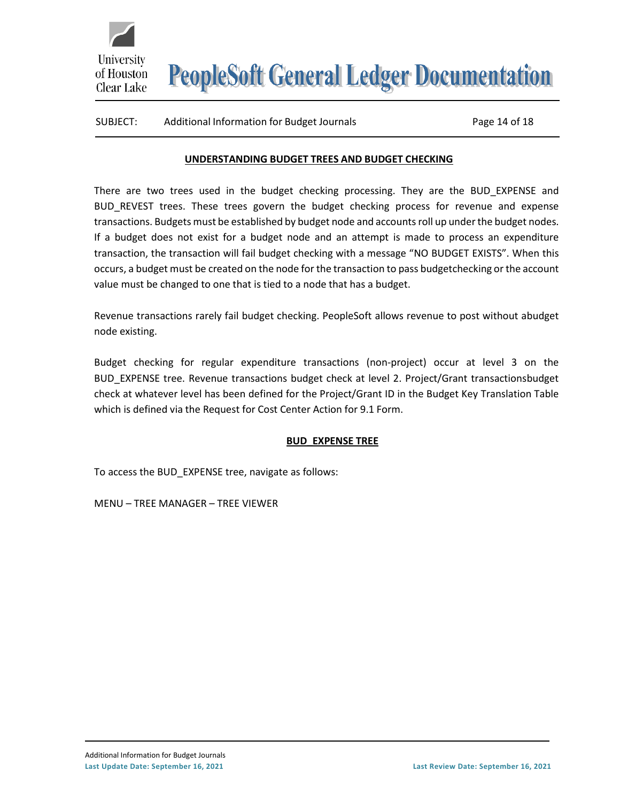# SUBJECT: Additional Information for Budget Journals Page 14 of 18

**University** 

of Houston Clear Lake

# **UNDERSTANDING BUDGET TREES AND BUDGET CHECKING**

<span id="page-13-0"></span>There are two trees used in the budget checking processing. They are the BUD\_EXPENSE and BUD REVEST trees. These trees govern the budget checking process for revenue and expense transactions. Budgets must be established by budget node and accounts roll up under the budget nodes. If a budget does not exist for a budget node and an attempt is made to process an expenditure transaction, the transaction will fail budget checking with a message "NO BUDGET EXISTS". When this occurs, a budget must be created on the node for the transaction to pass budgetchecking or the account value must be changed to one that is tied to a node that has a budget.

Revenue transactions rarely fail budget checking. PeopleSoft allows revenue to post without abudget node existing.

Budget checking for regular expenditure transactions (non-project) occur at level 3 on the BUD\_EXPENSE tree. Revenue transactions budget check at level 2. Project/Grant transactionsbudget check at whatever level has been defined for the Project/Grant ID in the Budget Key Translation Table which is defined via the Request for Cost Center Action for 9.1 Form.

# **BUD\_EXPENSE TREE**

<span id="page-13-1"></span>To access the BUD\_EXPENSE tree, navigate as follows:

MENU – TREE MANAGER – TREE VIEWER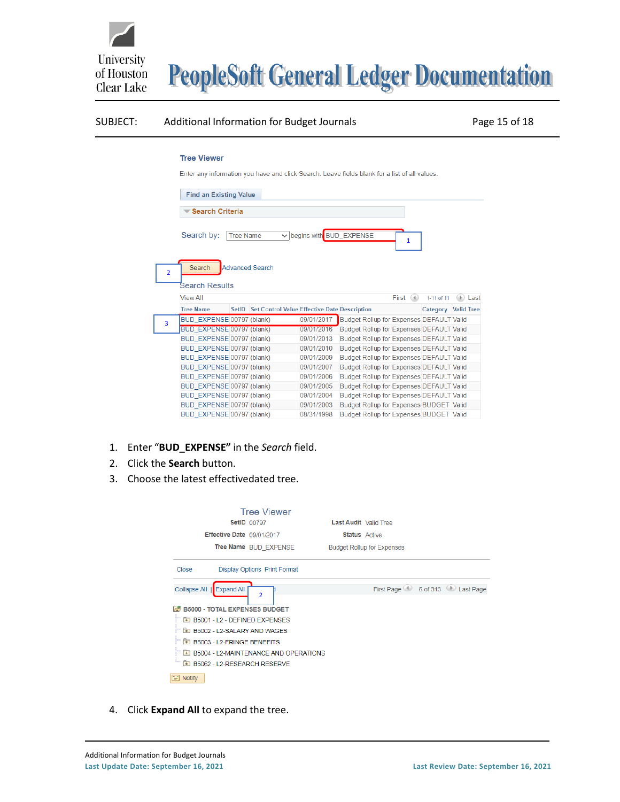

#### SUBJECT: Additional Information for Budget Journals Page 15 of 18

#### **Tree Viewer**

Enter any information you have and click Search. Leave fields blank for a list of all values.

|                | <b>Find an Existing Value</b><br><b>Search Criteria</b><br>U begins with BUD EXPENSE<br>Search by:<br><b>Tree Name</b> |           |                                                    |            |                                                 |  |  |                                                 |                            |
|----------------|------------------------------------------------------------------------------------------------------------------------|-----------|----------------------------------------------------|------------|-------------------------------------------------|--|--|-------------------------------------------------|----------------------------|
|                |                                                                                                                        |           |                                                    |            |                                                 |  |  |                                                 |                            |
|                |                                                                                                                        |           |                                                    |            |                                                 |  |  |                                                 |                            |
| $\overline{2}$ | Search<br><b>Advanced Search</b><br><b>Search Results</b>                                                              |           |                                                    |            |                                                 |  |  |                                                 |                            |
|                | <b>View All</b>                                                                                                        | First (4) |                                                    |            |                                                 |  |  | 1-11 of 11                                      | $(\triangleright)$<br>Last |
|                | <b>Tree Name</b>                                                                                                       |           | SetID Set Control Value Effective Date Description |            |                                                 |  |  | Category Valid Tree                             |                            |
| 3              | BUD EXPENSE 00797 (blank)                                                                                              |           |                                                    | 09/01/2017 | <b>Budget Rollup for Expenses DEFAULT Valid</b> |  |  |                                                 |                            |
|                | <b>BUD EXPENSE 00797 (blank)</b>                                                                                       |           |                                                    | 09/01/2016 |                                                 |  |  | <b>Budget Rollup for Expenses DEFAULT Valid</b> |                            |
|                | BUD EXPENSE 00797 (blank)                                                                                              |           |                                                    | 09/01/2013 |                                                 |  |  | <b>Budget Rollup for Expenses DEFAULT Valid</b> |                            |
|                | BUD EXPENSE 00797 (blank)                                                                                              |           |                                                    | 09/01/2010 |                                                 |  |  | <b>Budget Rollup for Expenses DEFAULT Valid</b> |                            |
|                | BUD EXPENSE 00797 (blank)                                                                                              |           |                                                    | 09/01/2009 |                                                 |  |  | <b>Budget Rollup for Expenses DEFAULT Valid</b> |                            |
|                | BUD EXPENSE 00797 (blank)                                                                                              |           |                                                    | 09/01/2007 |                                                 |  |  | <b>Budget Rollup for Expenses DEFAULT Valid</b> |                            |
|                | BUD EXPENSE 00797 (blank)                                                                                              |           |                                                    | 09/01/2006 |                                                 |  |  | <b>Budget Rollup for Expenses DEFAULT Valid</b> |                            |
|                | BUD EXPENSE 00797 (blank)                                                                                              |           |                                                    | 09/01/2005 |                                                 |  |  | Budget Rollup for Expenses DEFAULT Valid        |                            |
|                | BUD EXPENSE 00797 (blank)                                                                                              |           |                                                    | 09/01/2004 |                                                 |  |  | <b>Budget Rollup for Expenses DEFAULT Valid</b> |                            |
|                | BUD EXPENSE 00797 (blank)                                                                                              |           |                                                    | 09/01/2003 |                                                 |  |  | Budget Rollup for Expenses BUDGET Valid         |                            |
|                | BUD EXPENSE 00797 (blank)                                                                                              |           |                                                    | 08/31/1998 |                                                 |  |  | <b>Budget Rollup for Expenses BUDGET Valid</b>  |                            |

- 1. Enter "**BUD\_EXPENSE"** in the *Search* field.
- 2. Click the **Search** button.
- 3. Choose the latest effectivedated tree.

| <b>Tree Viewer</b><br><b>SetID 00797</b><br>Effective Date 09/01/2017<br>Tree Name BUD EXPENSE                                                                                                                                                                                                                                                                 | Last Audit Valid Tree<br><b>Status</b> Active<br><b>Budget Rollup for Expenses</b> |
|----------------------------------------------------------------------------------------------------------------------------------------------------------------------------------------------------------------------------------------------------------------------------------------------------------------------------------------------------------------|------------------------------------------------------------------------------------|
| <b>Display Options Print Format</b><br>Close                                                                                                                                                                                                                                                                                                                   |                                                                                    |
| <b>Expand All</b><br>Collapse All<br>$\overline{\phantom{a}}$<br><b>B5000 - TOTAL EXPENSES BUDGET</b><br><b>A</b><br><b>ED B5001 - L2 - DEFINED EXPENSES</b><br><b>ED B5002 - L2-SALARY AND WAGES</b><br><b>ED B5003 - L2-FRINGE BENEFITS</b><br><b>E B5004 - L2-MAINTENANCE AND OPERATIONS</b><br><b>ED B5062 - L2-RESEARCH RESERVE</b><br>¥<br><b>Notify</b> | First Page 6 6 of 313 Last Page                                                    |

4. Click **Expand All** to expand the tree.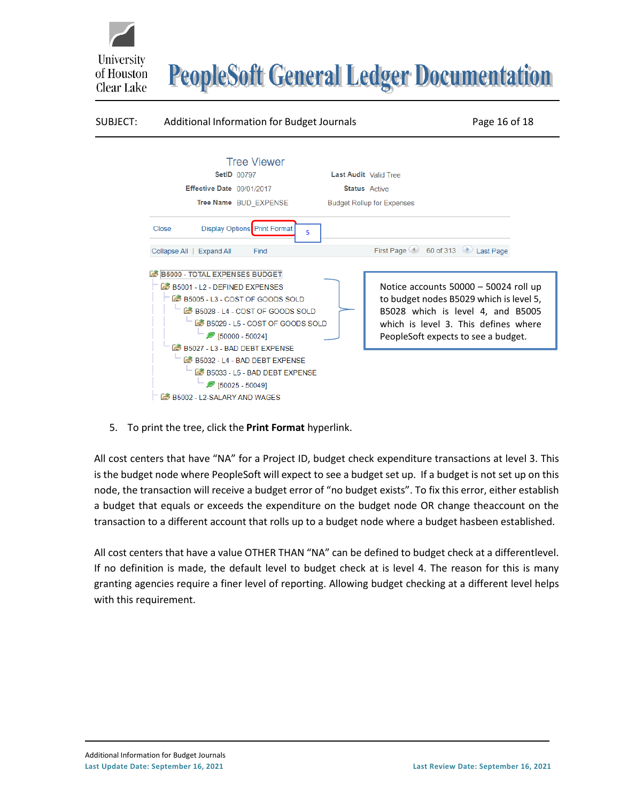

5. To print the tree, click the **Print Format** hyperlink.

All cost centers that have "NA" for a Project ID, budget check expenditure transactions at level 3. This is the budget node where PeopleSoft will expect to see a budget set up. If a budget is not set up on this node, the transaction will receive a budget error of "no budget exists". To fix this error, either establish a budget that equals or exceeds the expenditure on the budget node OR change theaccount on the transaction to a different account that rolls up to a budget node where a budget hasbeen established.

All cost centers that have a value OTHER THAN "NA" can be defined to budget check at a differentlevel. If no definition is made, the default level to budget check at is level 4. The reason for this is many granting agencies require a finer level of reporting. Allowing budget checking at a different level helps with this requirement.

University

of Houston Clear Lake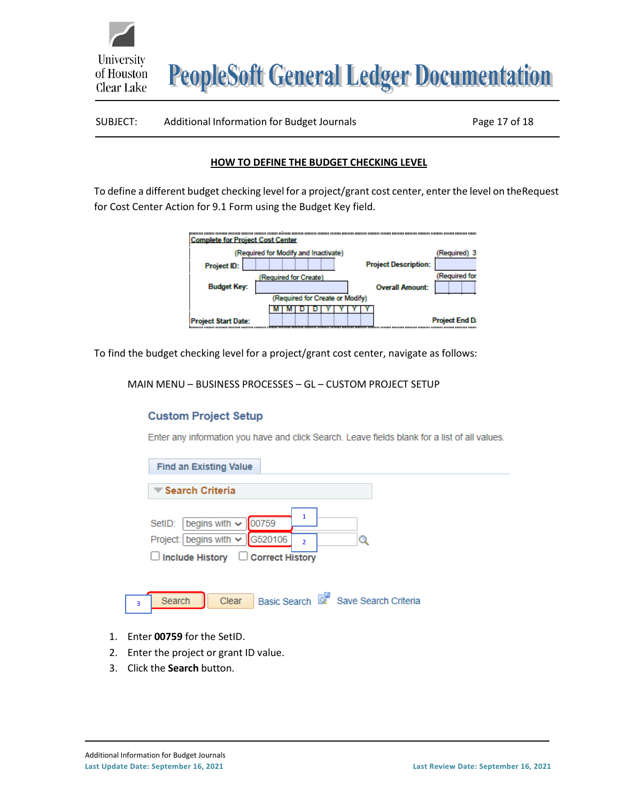University **PeopleSoft General Ledger Documentation** of Houston Clear Lake

#### SUBJECT: Additional Information for Budget Journals Page 17 of 18

#### **HOW TO DEFINE THE BUDGET CHECKING LEVEL**

<span id="page-16-0"></span>To define a different budget checking level for a project/grant cost center, enter the level on theRequest for Cost Center Action for 9.1 Form using the Budget Key field.

| <b>Complete for Project Cost Center</b> |                                      |                             |  |  |  |  |  |  |
|-----------------------------------------|--------------------------------------|-----------------------------|--|--|--|--|--|--|
|                                         | (Required for Modify and Inactivate) | (Required) 3                |  |  |  |  |  |  |
| <b>Project ID:</b>                      |                                      | <b>Project Description:</b> |  |  |  |  |  |  |
|                                         | (Required for Create)                | (Required for               |  |  |  |  |  |  |
| <b>Budget Key:</b>                      |                                      | <b>Overall Amount:</b>      |  |  |  |  |  |  |
|                                         | (Required for Create or Modify)      |                             |  |  |  |  |  |  |
|                                         |                                      |                             |  |  |  |  |  |  |
| <b>Project Start Date:</b>              |                                      | <b>Project End Da</b>       |  |  |  |  |  |  |

To find the budget checking level for a project/grant cost center, navigate as follows:

MAIN MENU – BUSINESS PROCESSES – GL – CUSTOM PROJECT SETUP

#### **Custom Project Setup**

Enter any information you have and click Search. Leave fields blank for a list of all values.

| <b>Find an Existing Value</b>                                                                                                         |  |
|---------------------------------------------------------------------------------------------------------------------------------------|--|
| $\blacktriangledown$ Search Criteria                                                                                                  |  |
| begins with $\vee$<br>00759<br>SetID:<br>Project: begins with $\vee$ G520106<br>$\overline{2}$<br>□ Include History □ Correct History |  |
| Basic Search & Save Search Criteria<br>Search<br>Clear<br>$\overline{3}$                                                              |  |

- 1. Enter **00759** for the SetID.
- 2. Enter the project or grant ID value.
- 3. Click the **Search** button.